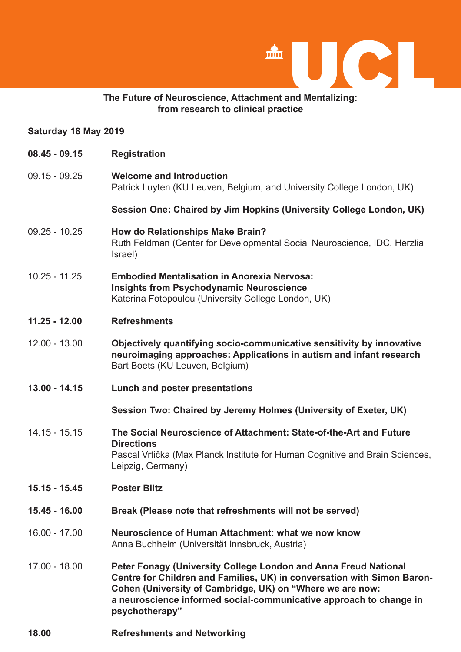

## **The Future of Neuroscience, Attachment and Mentalizing: from research to clinical practice**

### **Saturday 18 May 2019**

- **08.45 09.15 Registration**
- 09.15 09.25 **Welcome and Introduction** Patrick Luyten (KU Leuven, Belgium, and University College London, UK)

 **Session One: Chaired by Jim Hopkins (University College London, UK)**

- 09.25 10.25 **How do Relationships Make Brain?** Ruth Feldman (Center for Developmental Social Neuroscience, IDC, Herzlia Israel)
- 10.25 11.25 **Embodied Mentalisation in Anorexia Nervosa: Insights from Psychodynamic Neuroscience** Katerina Fotopoulou (University College London, UK)

# **11.25 - 12.00 Refreshments**

- 12.00 13.00 **Objectively quantifying socio-communicative sensitivity by innovative neuroimaging approaches: Applications in autism and infant research** Bart Boets (KU Leuven, Belgium)
- 1**3.00 14.15 Lunch and poster presentations**

 **Session Two: Chaired by Jeremy Holmes (University of Exeter, UK)** 

- 14.15 15.15 **The Social Neuroscience of Attachment: State-of-the-Art and Future Directions** Pascal Vrtička (Max Planck Institute for Human Cognitive and Brain Sciences, Leipzig, Germany)
- **15.15 15.45 Poster Blitz**
- **15.45 16.00 Break (Please note that refreshments will not be served)**
- 16.00 17.00 **Neuroscience of Human Attachment: what we now know** Anna Buchheim (Universität Innsbruck, Austria)
- 17.00 18.00 **Peter Fonagy (University College London and Anna Freud National Centre for Children and Families, UK) in conversation with Simon Baron- Cohen (University of Cambridge, UK) on "Where we are now: a neuroscience informed social-communicative approach to change in psychotherapy"**
- **18.00 Refreshments and Networking**